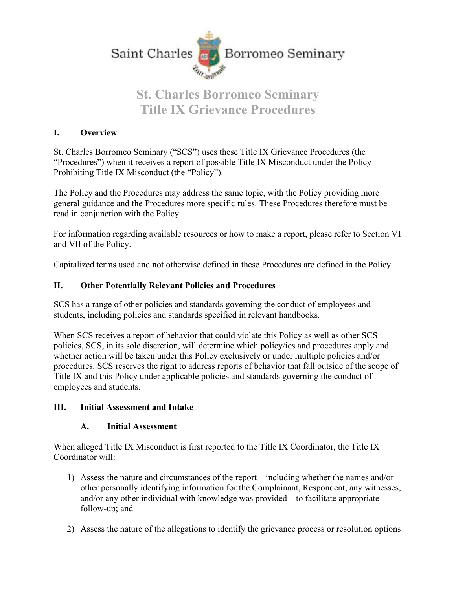

# **St. Charles Borromeo Seminary Title IX Grievance Procedures**

#### **I. Overview**

St. Charles Borromeo Seminary ("SCS") uses these Title IX Grievance Procedures (the "Procedures") when it receives a report of possible Title IX Misconduct under the Policy Prohibiting Title IX Misconduct (the "Policy").

The Policy and the Procedures may address the same topic, with the Policy providing more general guidance and the Procedures more specific rules. These Procedures therefore must be read in conjunction with the Policy.

For information regarding available resources or how to make a report, please refer to Section VI and VII of the Policy.

Capitalized terms used and not otherwise defined in these Procedures are defined in the Policy.

#### **II. Other Potentially Relevant Policies and Procedures**

SCS has a range of other policies and standards governing the conduct of employees and students, including policies and standards specified in relevant handbooks.

When SCS receives a report of behavior that could violate this Policy as well as other SCS policies, SCS, in its sole discretion, will determine which policy/ies and procedures apply and whether action will be taken under this Policy exclusively or under multiple policies and/or procedures. SCS reserves the right to address reports of behavior that fall outside of the scope of Title IX and this Policy under applicable policies and standards governing the conduct of employees and students.

#### **III. Initial Assessment and Intake**

#### **A. Initial Assessment**

When alleged Title IX Misconduct is first reported to the Title IX Coordinator, the Title IX Coordinator will:

- 1) Assess the nature and circumstances of the report—including whether the names and/or other personally identifying information for the Complainant, Respondent, any witnesses, and/or any other individual with knowledge was provided—to facilitate appropriate follow-up; and
- 2) Assess the nature of the allegations to identify the grievance process or resolution options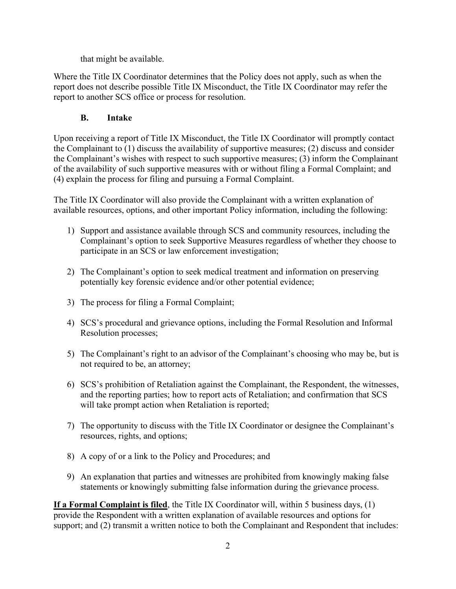that might be available.

Where the Title IX Coordinator determines that the Policy does not apply, such as when the report does not describe possible Title IX Misconduct, the Title IX Coordinator may refer the report to another SCS office or process for resolution.

# **B. Intake**

Upon receiving a report of Title IX Misconduct, the Title IX Coordinator will promptly contact the Complainant to (1) discuss the availability of supportive measures; (2) discuss and consider the Complainant's wishes with respect to such supportive measures; (3) inform the Complainant of the availability of such supportive measures with or without filing a Formal Complaint; and (4) explain the process for filing and pursuing a Formal Complaint.

The Title IX Coordinator will also provide the Complainant with a written explanation of available resources, options, and other important Policy information, including the following:

- 1) Support and assistance available through SCS and community resources, including the Complainant's option to seek Supportive Measures regardless of whether they choose to participate in an SCS or law enforcement investigation;
- 2) The Complainant's option to seek medical treatment and information on preserving potentially key forensic evidence and/or other potential evidence;
- 3) The process for filing a Formal Complaint;
- 4) SCS's procedural and grievance options, including the Formal Resolution and Informal Resolution processes;
- 5) The Complainant's right to an advisor of the Complainant's choosing who may be, but is not required to be, an attorney;
- 6) SCS's prohibition of Retaliation against the Complainant, the Respondent, the witnesses, and the reporting parties; how to report acts of Retaliation; and confirmation that SCS will take prompt action when Retaliation is reported;
- 7) The opportunity to discuss with the Title IX Coordinator or designee the Complainant's resources, rights, and options;
- 8) A copy of or a link to the Policy and Procedures; and
- 9) An explanation that parties and witnesses are prohibited from knowingly making false statements or knowingly submitting false information during the grievance process.

**If a Formal Complaint is filed**, the Title IX Coordinator will, within 5 business days, (1) provide the Respondent with a written explanation of available resources and options for support; and (2) transmit a written notice to both the Complainant and Respondent that includes: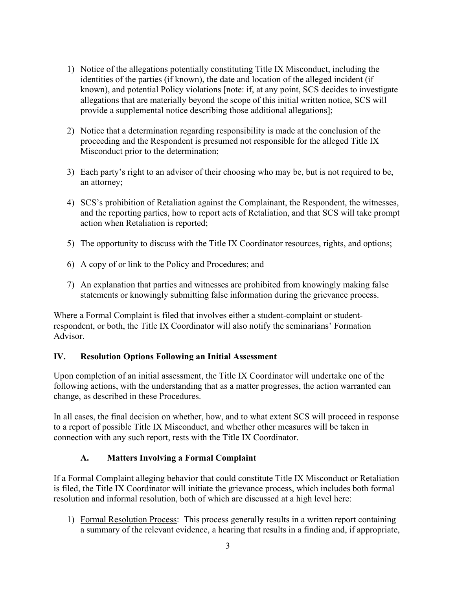- 1) Notice of the allegations potentially constituting Title IX Misconduct, including the identities of the parties (if known), the date and location of the alleged incident (if known), and potential Policy violations [note: if, at any point, SCS decides to investigate allegations that are materially beyond the scope of this initial written notice, SCS will provide a supplemental notice describing those additional allegations];
- 2) Notice that a determination regarding responsibility is made at the conclusion of the proceeding and the Respondent is presumed not responsible for the alleged Title IX Misconduct prior to the determination;
- 3) Each party's right to an advisor of their choosing who may be, but is not required to be, an attorney;
- 4) SCS's prohibition of Retaliation against the Complainant, the Respondent, the witnesses, and the reporting parties, how to report acts of Retaliation, and that SCS will take prompt action when Retaliation is reported;
- 5) The opportunity to discuss with the Title IX Coordinator resources, rights, and options;
- 6) A copy of or link to the Policy and Procedures; and
- 7) An explanation that parties and witnesses are prohibited from knowingly making false statements or knowingly submitting false information during the grievance process.

Where a Formal Complaint is filed that involves either a student-complaint or studentrespondent, or both, the Title IX Coordinator will also notify the seminarians' Formation Advisor.

#### **IV. Resolution Options Following an Initial Assessment**

Upon completion of an initial assessment, the Title IX Coordinator will undertake one of the following actions, with the understanding that as a matter progresses, the action warranted can change, as described in these Procedures.

In all cases, the final decision on whether, how, and to what extent SCS will proceed in response to a report of possible Title IX Misconduct, and whether other measures will be taken in connection with any such report, rests with the Title IX Coordinator.

# **A. Matters Involving a Formal Complaint**

If a Formal Complaint alleging behavior that could constitute Title IX Misconduct or Retaliation is filed, the Title IX Coordinator will initiate the grievance process, which includes both formal resolution and informal resolution, both of which are discussed at a high level here:

1) Formal Resolution Process: This process generally results in a written report containing a summary of the relevant evidence, a hearing that results in a finding and, if appropriate,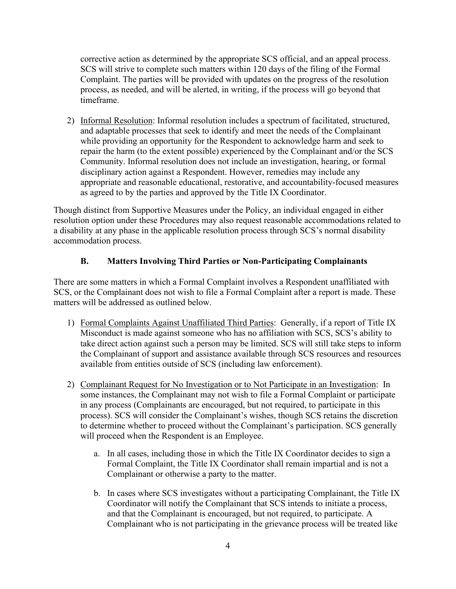corrective action as determined by the appropriate SCS official, and an appeal process. SCS will strive to complete such matters within 120 days of the filing of the Formal Complaint. The parties will be provided with updates on the progress of the resolution process, as needed, and will be alerted, in writing, if the process will go beyond that timeframe.

2) Informal Resolution: Informal resolution includes a spectrum of facilitated, structured, and adaptable processes that seek to identify and meet the needs of the Complainant while providing an opportunity for the Respondent to acknowledge harm and seek to repair the harm (to the extent possible) experienced by the Complainant and/or the SCS Community. Informal resolution does not include an investigation, hearing, or formal disciplinary action against a Respondent. However, remedies may include any appropriate and reasonable educational, restorative, and accountability-focused measures as agreed to by the parties and approved by the Title IX Coordinator.

Though distinct from Supportive Measures under the Policy, an individual engaged in either resolution option under these Procedures may also request reasonable accommodations related to a disability at any phase in the applicable resolution process through SCS's normal disability accommodation process.

## **B. Matters Involving Third Parties or Non-Participating Complainants**

There are some matters in which a Formal Complaint involves a Respondent unaffiliated with SCS, or the Complainant does not wish to file a Formal Complaint after a report is made. These matters will be addressed as outlined below.

- 1) Formal Complaints Against Unaffiliated Third Parties: Generally, if a report of Title IX Misconduct is made against someone who has no affiliation with SCS, SCS's ability to take direct action against such a person may be limited. SCS will still take steps to inform the Complainant of support and assistance available through SCS resources and resources available from entities outside of SCS (including law enforcement).
- 2) Complainant Request for No Investigation or to Not Participate in an Investigation: In some instances, the Complainant may not wish to file a Formal Complaint or participate in any process (Complainants are encouraged, but not required, to participate in this process). SCS will consider the Complainant's wishes, though SCS retains the discretion to determine whether to proceed without the Complainant's participation. SCS generally will proceed when the Respondent is an Employee.
	- a. In all cases, including those in which the Title IX Coordinator decides to sign a Formal Complaint, the Title IX Coordinator shall remain impartial and is not a Complainant or otherwise a party to the matter.
	- b. In cases where SCS investigates without a participating Complainant, the Title IX Coordinator will notify the Complainant that SCS intends to initiate a process, and that the Complainant is encouraged, but not required, to participate. A Complainant who is not participating in the grievance process will be treated like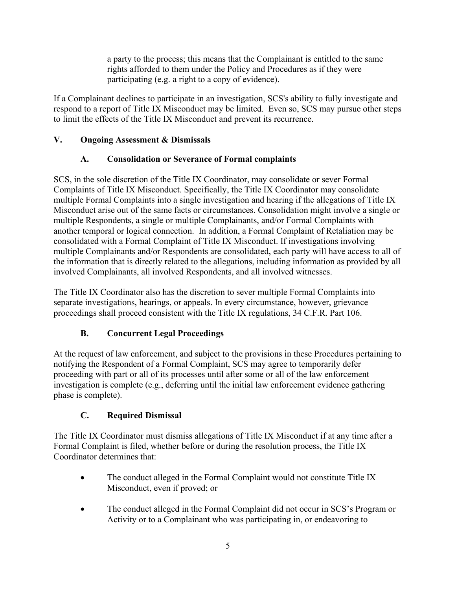a party to the process; this means that the Complainant is entitled to the same rights afforded to them under the Policy and Procedures as if they were participating (e.g. a right to a copy of evidence).

If a Complainant declines to participate in an investigation, SCS's ability to fully investigate and respond to a report of Title IX Misconduct may be limited. Even so, SCS may pursue other steps to limit the effects of the Title IX Misconduct and prevent its recurrence.

# **V. Ongoing Assessment & Dismissals**

# **A. Consolidation or Severance of Formal complaints**

SCS, in the sole discretion of the Title IX Coordinator, may consolidate or sever Formal Complaints of Title IX Misconduct. Specifically, the Title IX Coordinator may consolidate multiple Formal Complaints into a single investigation and hearing if the allegations of Title IX Misconduct arise out of the same facts or circumstances. Consolidation might involve a single or multiple Respondents, a single or multiple Complainants, and/or Formal Complaints with another temporal or logical connection. In addition, a Formal Complaint of Retaliation may be consolidated with a Formal Complaint of Title IX Misconduct. If investigations involving multiple Complainants and/or Respondents are consolidated, each party will have access to all of the information that is directly related to the allegations, including information as provided by all involved Complainants, all involved Respondents, and all involved witnesses.

The Title IX Coordinator also has the discretion to sever multiple Formal Complaints into separate investigations, hearings, or appeals. In every circumstance, however, grievance proceedings shall proceed consistent with the Title IX regulations, 34 C.F.R. Part 106.

# **B. Concurrent Legal Proceedings**

At the request of law enforcement, and subject to the provisions in these Procedures pertaining to notifying the Respondent of a Formal Complaint, SCS may agree to temporarily defer proceeding with part or all of its processes until after some or all of the law enforcement investigation is complete (e.g., deferring until the initial law enforcement evidence gathering phase is complete).

# **C. Required Dismissal**

The Title IX Coordinator must dismiss allegations of Title IX Misconduct if at any time after a Formal Complaint is filed, whether before or during the resolution process, the Title IX Coordinator determines that:

- The conduct alleged in the Formal Complaint would not constitute Title IX Misconduct, even if proved; or
- The conduct alleged in the Formal Complaint did not occur in SCS's Program or Activity or to a Complainant who was participating in, or endeavoring to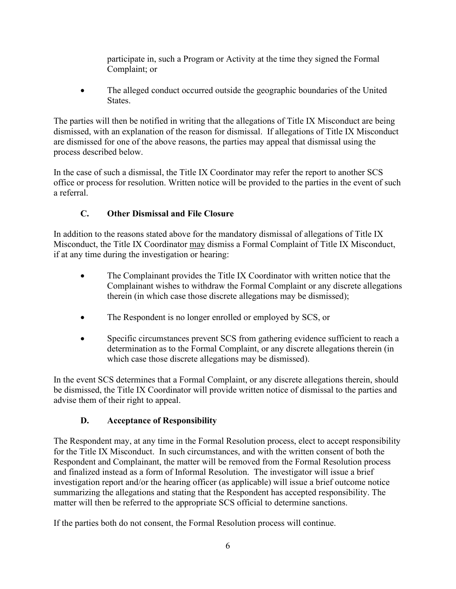participate in, such a Program or Activity at the time they signed the Formal Complaint; or

• The alleged conduct occurred outside the geographic boundaries of the United States.

The parties will then be notified in writing that the allegations of Title IX Misconduct are being dismissed, with an explanation of the reason for dismissal. If allegations of Title IX Misconduct are dismissed for one of the above reasons, the parties may appeal that dismissal using the process described below.

In the case of such a dismissal, the Title IX Coordinator may refer the report to another SCS office or process for resolution. Written notice will be provided to the parties in the event of such a referral.

# **C. Other Dismissal and File Closure**

In addition to the reasons stated above for the mandatory dismissal of allegations of Title IX Misconduct, the Title IX Coordinator may dismiss a Formal Complaint of Title IX Misconduct, if at any time during the investigation or hearing:

- The Complainant provides the Title IX Coordinator with written notice that the Complainant wishes to withdraw the Formal Complaint or any discrete allegations therein (in which case those discrete allegations may be dismissed);
- The Respondent is no longer enrolled or employed by SCS, or
- Specific circumstances prevent SCS from gathering evidence sufficient to reach a determination as to the Formal Complaint, or any discrete allegations therein (in which case those discrete allegations may be dismissed).

In the event SCS determines that a Formal Complaint, or any discrete allegations therein, should be dismissed, the Title IX Coordinator will provide written notice of dismissal to the parties and advise them of their right to appeal.

# **D. Acceptance of Responsibility**

The Respondent may, at any time in the Formal Resolution process, elect to accept responsibility for the Title IX Misconduct. In such circumstances, and with the written consent of both the Respondent and Complainant, the matter will be removed from the Formal Resolution process and finalized instead as a form of Informal Resolution. The investigator will issue a brief investigation report and/or the hearing officer (as applicable) will issue a brief outcome notice summarizing the allegations and stating that the Respondent has accepted responsibility. The matter will then be referred to the appropriate SCS official to determine sanctions.

If the parties both do not consent, the Formal Resolution process will continue.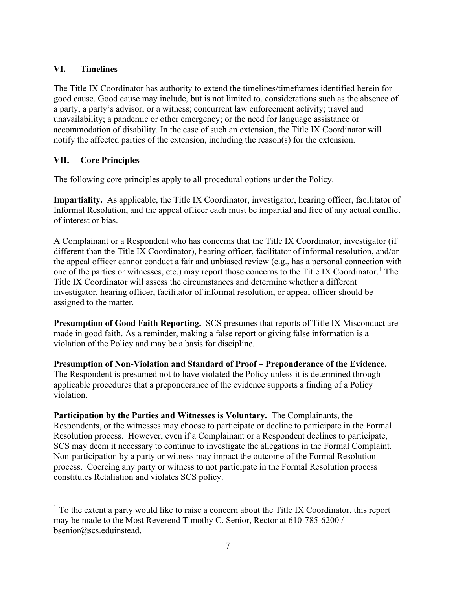#### **VI. Timelines**

The Title IX Coordinator has authority to extend the timelines/timeframes identified herein for good cause. Good cause may include, but is not limited to, considerations such as the absence of a party, a party's advisor, or a witness; concurrent law enforcement activity; travel and unavailability; a pandemic or other emergency; or the need for language assistance or accommodation of disability. In the case of such an extension, the Title IX Coordinator will notify the affected parties of the extension, including the reason(s) for the extension.

# **VII. Core Principles**

The following core principles apply to all procedural options under the Policy.

**Impartiality.** As applicable, the Title IX Coordinator, investigator, hearing officer, facilitator of Informal Resolution, and the appeal officer each must be impartial and free of any actual conflict of interest or bias.

A Complainant or a Respondent who has concerns that the Title IX Coordinator, investigator (if different than the Title IX Coordinator), hearing officer, facilitator of informal resolution, and/or the appeal officer cannot conduct a fair and unbiased review (e.g., has a personal connection with one of the parties or witnesses, etc.) may report those concerns to the Title IX Coordinator.<sup>[1](#page-6-0)</sup> The Title IX Coordinator will assess the circumstances and determine whether a different investigator, hearing officer, facilitator of informal resolution, or appeal officer should be assigned to the matter.

**Presumption of Good Faith Reporting.** SCS presumes that reports of Title IX Misconduct are made in good faith. As a reminder, making a false report or giving false information is a violation of the Policy and may be a basis for discipline.

**Presumption of Non-Violation and Standard of Proof – Preponderance of the Evidence.** The Respondent is presumed not to have violated the Policy unless it is determined through applicable procedures that a preponderance of the evidence supports a finding of a Policy violation.

**Participation by the Parties and Witnesses is Voluntary.** The Complainants, the Respondents, or the witnesses may choose to participate or decline to participate in the Formal Resolution process. However, even if a Complainant or a Respondent declines to participate, SCS may deem it necessary to continue to investigate the allegations in the Formal Complaint. Non-participation by a party or witness may impact the outcome of the Formal Resolution process. Coercing any party or witness to not participate in the Formal Resolution process constitutes Retaliation and violates SCS policy.

<span id="page-6-0"></span> $<sup>1</sup>$  To the extent a party would like to raise a concern about the Title IX Coordinator, this report</sup> may be made to the Most Reverend Timothy C. Senior, Rector at 610-785-6200 / bsenior@scs.eduinstead.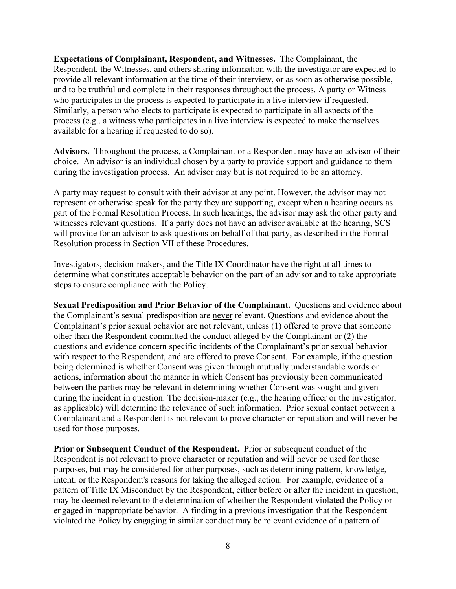**Expectations of Complainant, Respondent, and Witnesses.** The Complainant, the Respondent, the Witnesses, and others sharing information with the investigator are expected to provide all relevant information at the time of their interview, or as soon as otherwise possible, and to be truthful and complete in their responses throughout the process. A party or Witness who participates in the process is expected to participate in a live interview if requested. Similarly, a person who elects to participate is expected to participate in all aspects of the process (e.g., a witness who participates in a live interview is expected to make themselves available for a hearing if requested to do so).

**Advisors.** Throughout the process, a Complainant or a Respondent may have an advisor of their choice. An advisor is an individual chosen by a party to provide support and guidance to them during the investigation process. An advisor may but is not required to be an attorney.

A party may request to consult with their advisor at any point. However, the advisor may not represent or otherwise speak for the party they are supporting, except when a hearing occurs as part of the Formal Resolution Process. In such hearings, the advisor may ask the other party and witnesses relevant questions. If a party does not have an advisor available at the hearing, SCS will provide for an advisor to ask questions on behalf of that party, as described in the Formal Resolution process in Section VII of these Procedures.

Investigators, decision-makers, and the Title IX Coordinator have the right at all times to determine what constitutes acceptable behavior on the part of an advisor and to take appropriate steps to ensure compliance with the Policy.

**Sexual Predisposition and Prior Behavior of the Complainant.** Questions and evidence about the Complainant's sexual predisposition are never relevant. Questions and evidence about the Complainant's prior sexual behavior are not relevant, unless (1) offered to prove that someone other than the Respondent committed the conduct alleged by the Complainant or (2) the questions and evidence concern specific incidents of the Complainant's prior sexual behavior with respect to the Respondent, and are offered to prove Consent. For example, if the question being determined is whether Consent was given through mutually understandable words or actions, information about the manner in which Consent has previously been communicated between the parties may be relevant in determining whether Consent was sought and given during the incident in question. The decision-maker (e.g., the hearing officer or the investigator, as applicable) will determine the relevance of such information. Prior sexual contact between a Complainant and a Respondent is not relevant to prove character or reputation and will never be used for those purposes.

**Prior or Subsequent Conduct of the Respondent.** Prior or subsequent conduct of the Respondent is not relevant to prove character or reputation and will never be used for these purposes, but may be considered for other purposes, such as determining pattern, knowledge, intent, or the Respondent's reasons for taking the alleged action. For example, evidence of a pattern of Title IX Misconduct by the Respondent, either before or after the incident in question, may be deemed relevant to the determination of whether the Respondent violated the Policy or engaged in inappropriate behavior. A finding in a previous investigation that the Respondent violated the Policy by engaging in similar conduct may be relevant evidence of a pattern of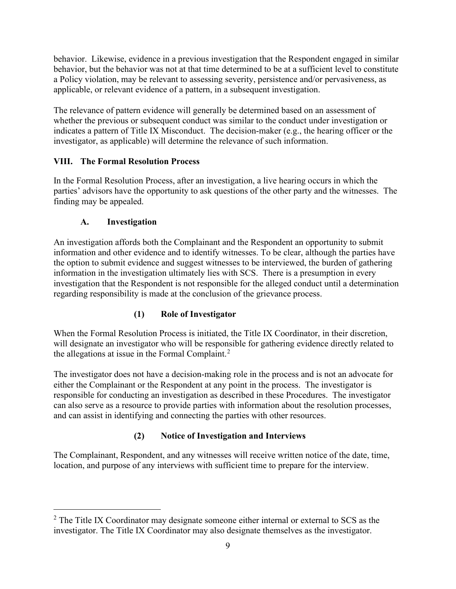behavior. Likewise, evidence in a previous investigation that the Respondent engaged in similar behavior, but the behavior was not at that time determined to be at a sufficient level to constitute a Policy violation, may be relevant to assessing severity, persistence and/or pervasiveness, as applicable, or relevant evidence of a pattern, in a subsequent investigation.

The relevance of pattern evidence will generally be determined based on an assessment of whether the previous or subsequent conduct was similar to the conduct under investigation or indicates a pattern of Title IX Misconduct. The decision-maker (e.g., the hearing officer or the investigator, as applicable) will determine the relevance of such information.

# **VIII. The Formal Resolution Process**

In the Formal Resolution Process, after an investigation, a live hearing occurs in which the parties' advisors have the opportunity to ask questions of the other party and the witnesses. The finding may be appealed.

## **A. Investigation**

An investigation affords both the Complainant and the Respondent an opportunity to submit information and other evidence and to identify witnesses. To be clear, although the parties have the option to submit evidence and suggest witnesses to be interviewed, the burden of gathering information in the investigation ultimately lies with SCS. There is a presumption in every investigation that the Respondent is not responsible for the alleged conduct until a determination regarding responsibility is made at the conclusion of the grievance process.

# **(1) Role of Investigator**

When the Formal Resolution Process is initiated, the Title IX Coordinator, in their discretion, will designate an investigator who will be responsible for gathering evidence directly related to the allegations at issue in the Formal Complaint.<sup>[2](#page-8-0)</sup>

The investigator does not have a decision-making role in the process and is not an advocate for either the Complainant or the Respondent at any point in the process. The investigator is responsible for conducting an investigation as described in these Procedures. The investigator can also serve as a resource to provide parties with information about the resolution processes, and can assist in identifying and connecting the parties with other resources.

# **(2) Notice of Investigation and Interviews**

The Complainant, Respondent, and any witnesses will receive written notice of the date, time, location, and purpose of any interviews with sufficient time to prepare for the interview.

<span id="page-8-0"></span> $2$  The Title IX Coordinator may designate someone either internal or external to SCS as the investigator. The Title IX Coordinator may also designate themselves as the investigator.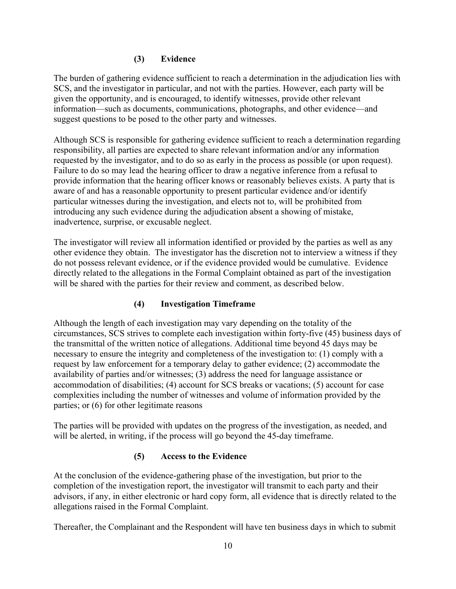#### **(3) Evidence**

The burden of gathering evidence sufficient to reach a determination in the adjudication lies with SCS, and the investigator in particular, and not with the parties. However, each party will be given the opportunity, and is encouraged, to identify witnesses, provide other relevant information—such as documents, communications, photographs, and other evidence—and suggest questions to be posed to the other party and witnesses.

Although SCS is responsible for gathering evidence sufficient to reach a determination regarding responsibility, all parties are expected to share relevant information and/or any information requested by the investigator, and to do so as early in the process as possible (or upon request). Failure to do so may lead the hearing officer to draw a negative inference from a refusal to provide information that the hearing officer knows or reasonably believes exists. A party that is aware of and has a reasonable opportunity to present particular evidence and/or identify particular witnesses during the investigation, and elects not to, will be prohibited from introducing any such evidence during the adjudication absent a showing of mistake, inadvertence, surprise, or excusable neglect.

The investigator will review all information identified or provided by the parties as well as any other evidence they obtain. The investigator has the discretion not to interview a witness if they do not possess relevant evidence, or if the evidence provided would be cumulative. Evidence directly related to the allegations in the Formal Complaint obtained as part of the investigation will be shared with the parties for their review and comment, as described below.

#### **(4) Investigation Timeframe**

Although the length of each investigation may vary depending on the totality of the circumstances, SCS strives to complete each investigation within forty-five (45) business days of the transmittal of the written notice of allegations. Additional time beyond 45 days may be necessary to ensure the integrity and completeness of the investigation to: (1) comply with a request by law enforcement for a temporary delay to gather evidence; (2) accommodate the availability of parties and/or witnesses; (3) address the need for language assistance or accommodation of disabilities; (4) account for SCS breaks or vacations; (5) account for case complexities including the number of witnesses and volume of information provided by the parties; or (6) for other legitimate reasons

The parties will be provided with updates on the progress of the investigation, as needed, and will be alerted, in writing, if the process will go beyond the 45-day timeframe.

#### **(5) Access to the Evidence**

At the conclusion of the evidence-gathering phase of the investigation, but prior to the completion of the investigation report, the investigator will transmit to each party and their advisors, if any, in either electronic or hard copy form, all evidence that is directly related to the allegations raised in the Formal Complaint.

Thereafter, the Complainant and the Respondent will have ten business days in which to submit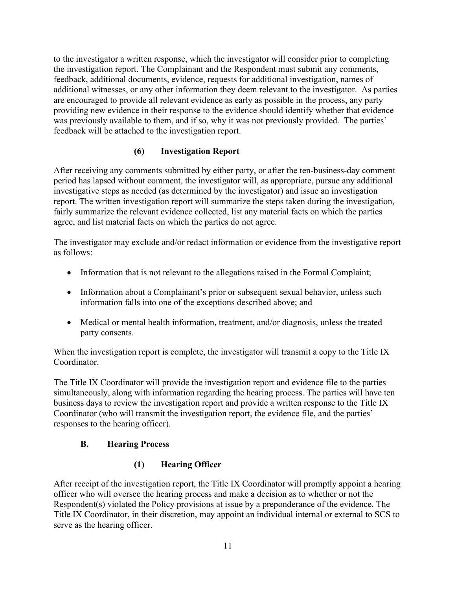to the investigator a written response, which the investigator will consider prior to completing the investigation report. The Complainant and the Respondent must submit any comments, feedback, additional documents, evidence, requests for additional investigation, names of additional witnesses, or any other information they deem relevant to the investigator. As parties are encouraged to provide all relevant evidence as early as possible in the process, any party providing new evidence in their response to the evidence should identify whether that evidence was previously available to them, and if so, why it was not previously provided. The parties' feedback will be attached to the investigation report.

## **(6) Investigation Report**

After receiving any comments submitted by either party, or after the ten-business-day comment period has lapsed without comment, the investigator will, as appropriate, pursue any additional investigative steps as needed (as determined by the investigator) and issue an investigation report. The written investigation report will summarize the steps taken during the investigation, fairly summarize the relevant evidence collected, list any material facts on which the parties agree, and list material facts on which the parties do not agree.

The investigator may exclude and/or redact information or evidence from the investigative report as follows:

- Information that is not relevant to the allegations raised in the Formal Complaint;
- Information about a Complainant's prior or subsequent sexual behavior, unless such information falls into one of the exceptions described above; and
- Medical or mental health information, treatment, and/or diagnosis, unless the treated party consents.

When the investigation report is complete, the investigator will transmit a copy to the Title IX Coordinator.

The Title IX Coordinator will provide the investigation report and evidence file to the parties simultaneously, along with information regarding the hearing process. The parties will have ten business days to review the investigation report and provide a written response to the Title IX Coordinator (who will transmit the investigation report, the evidence file, and the parties' responses to the hearing officer).

#### **B. Hearing Process**

# **(1) Hearing Officer**

After receipt of the investigation report, the Title IX Coordinator will promptly appoint a hearing officer who will oversee the hearing process and make a decision as to whether or not the Respondent(s) violated the Policy provisions at issue by a preponderance of the evidence. The Title IX Coordinator, in their discretion, may appoint an individual internal or external to SCS to serve as the hearing officer.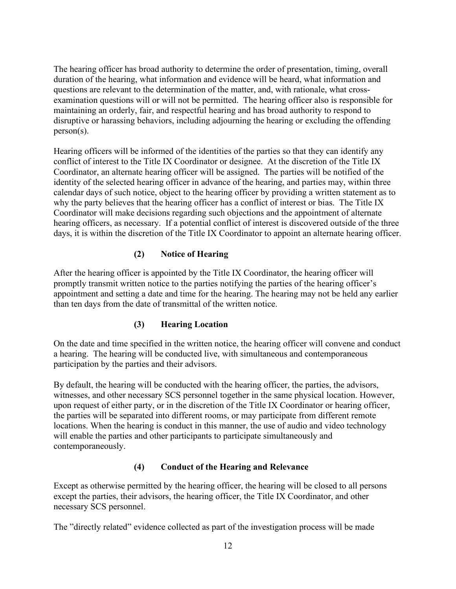The hearing officer has broad authority to determine the order of presentation, timing, overall duration of the hearing, what information and evidence will be heard, what information and questions are relevant to the determination of the matter, and, with rationale, what crossexamination questions will or will not be permitted. The hearing officer also is responsible for maintaining an orderly, fair, and respectful hearing and has broad authority to respond to disruptive or harassing behaviors, including adjourning the hearing or excluding the offending person(s).

Hearing officers will be informed of the identities of the parties so that they can identify any conflict of interest to the Title IX Coordinator or designee. At the discretion of the Title IX Coordinator, an alternate hearing officer will be assigned. The parties will be notified of the identity of the selected hearing officer in advance of the hearing, and parties may, within three calendar days of such notice, object to the hearing officer by providing a written statement as to why the party believes that the hearing officer has a conflict of interest or bias. The Title IX Coordinator will make decisions regarding such objections and the appointment of alternate hearing officers, as necessary. If a potential conflict of interest is discovered outside of the three days, it is within the discretion of the Title IX Coordinator to appoint an alternate hearing officer.

## **(2) Notice of Hearing**

After the hearing officer is appointed by the Title IX Coordinator, the hearing officer will promptly transmit written notice to the parties notifying the parties of the hearing officer's appointment and setting a date and time for the hearing. The hearing may not be held any earlier than ten days from the date of transmittal of the written notice.

#### **(3) Hearing Location**

On the date and time specified in the written notice, the hearing officer will convene and conduct a hearing. The hearing will be conducted live, with simultaneous and contemporaneous participation by the parties and their advisors.

By default, the hearing will be conducted with the hearing officer, the parties, the advisors, witnesses, and other necessary SCS personnel together in the same physical location. However, upon request of either party, or in the discretion of the Title IX Coordinator or hearing officer, the parties will be separated into different rooms, or may participate from different remote locations. When the hearing is conduct in this manner, the use of audio and video technology will enable the parties and other participants to participate simultaneously and contemporaneously.

#### **(4) Conduct of the Hearing and Relevance**

Except as otherwise permitted by the hearing officer, the hearing will be closed to all persons except the parties, their advisors, the hearing officer, the Title IX Coordinator, and other necessary SCS personnel.

The "directly related" evidence collected as part of the investigation process will be made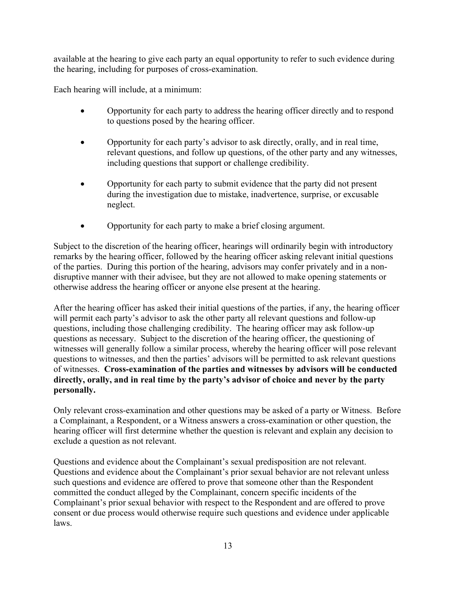available at the hearing to give each party an equal opportunity to refer to such evidence during the hearing, including for purposes of cross-examination.

Each hearing will include, at a minimum:

- Opportunity for each party to address the hearing officer directly and to respond to questions posed by the hearing officer.
- Opportunity for each party's advisor to ask directly, orally, and in real time, relevant questions, and follow up questions, of the other party and any witnesses, including questions that support or challenge credibility.
- Opportunity for each party to submit evidence that the party did not present during the investigation due to mistake, inadvertence, surprise, or excusable neglect.
- Opportunity for each party to make a brief closing argument.

Subject to the discretion of the hearing officer, hearings will ordinarily begin with introductory remarks by the hearing officer, followed by the hearing officer asking relevant initial questions of the parties. During this portion of the hearing, advisors may confer privately and in a nondisruptive manner with their advisee, but they are not allowed to make opening statements or otherwise address the hearing officer or anyone else present at the hearing.

After the hearing officer has asked their initial questions of the parties, if any, the hearing officer will permit each party's advisor to ask the other party all relevant questions and follow-up questions, including those challenging credibility. The hearing officer may ask follow-up questions as necessary. Subject to the discretion of the hearing officer, the questioning of witnesses will generally follow a similar process, whereby the hearing officer will pose relevant questions to witnesses, and then the parties' advisors will be permitted to ask relevant questions of witnesses. **Cross-examination of the parties and witnesses by advisors will be conducted directly, orally, and in real time by the party's advisor of choice and never by the party personally.** 

Only relevant cross-examination and other questions may be asked of a party or Witness. Before a Complainant, a Respondent, or a Witness answers a cross-examination or other question, the hearing officer will first determine whether the question is relevant and explain any decision to exclude a question as not relevant.

Questions and evidence about the Complainant's sexual predisposition are not relevant. Questions and evidence about the Complainant's prior sexual behavior are not relevant unless such questions and evidence are offered to prove that someone other than the Respondent committed the conduct alleged by the Complainant, concern specific incidents of the Complainant's prior sexual behavior with respect to the Respondent and are offered to prove consent or due process would otherwise require such questions and evidence under applicable laws.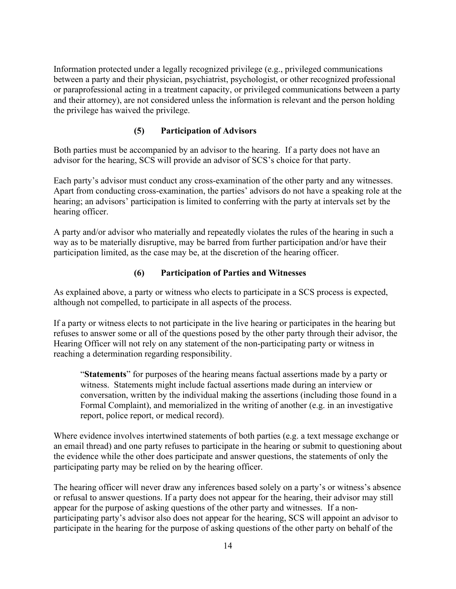Information protected under a legally recognized privilege (e.g., privileged communications between a party and their physician, psychiatrist, psychologist, or other recognized professional or paraprofessional acting in a treatment capacity, or privileged communications between a party and their attorney), are not considered unless the information is relevant and the person holding the privilege has waived the privilege.

#### **(5) Participation of Advisors**

Both parties must be accompanied by an advisor to the hearing. If a party does not have an advisor for the hearing, SCS will provide an advisor of SCS's choice for that party.

Each party's advisor must conduct any cross-examination of the other party and any witnesses. Apart from conducting cross-examination, the parties' advisors do not have a speaking role at the hearing; an advisors' participation is limited to conferring with the party at intervals set by the hearing officer.

A party and/or advisor who materially and repeatedly violates the rules of the hearing in such a way as to be materially disruptive, may be barred from further participation and/or have their participation limited, as the case may be, at the discretion of the hearing officer.

#### **(6) Participation of Parties and Witnesses**

As explained above, a party or witness who elects to participate in a SCS process is expected, although not compelled, to participate in all aspects of the process.

If a party or witness elects to not participate in the live hearing or participates in the hearing but refuses to answer some or all of the questions posed by the other party through their advisor, the Hearing Officer will not rely on any statement of the non-participating party or witness in reaching a determination regarding responsibility.

"**Statements**" for purposes of the hearing means factual assertions made by a party or witness. Statements might include factual assertions made during an interview or conversation, written by the individual making the assertions (including those found in a Formal Complaint), and memorialized in the writing of another (e.g. in an investigative report, police report, or medical record).

Where evidence involves intertwined statements of both parties (e.g. a text message exchange or an email thread) and one party refuses to participate in the hearing or submit to questioning about the evidence while the other does participate and answer questions, the statements of only the participating party may be relied on by the hearing officer.

The hearing officer will never draw any inferences based solely on a party's or witness's absence or refusal to answer questions. If a party does not appear for the hearing, their advisor may still appear for the purpose of asking questions of the other party and witnesses. If a nonparticipating party's advisor also does not appear for the hearing, SCS will appoint an advisor to participate in the hearing for the purpose of asking questions of the other party on behalf of the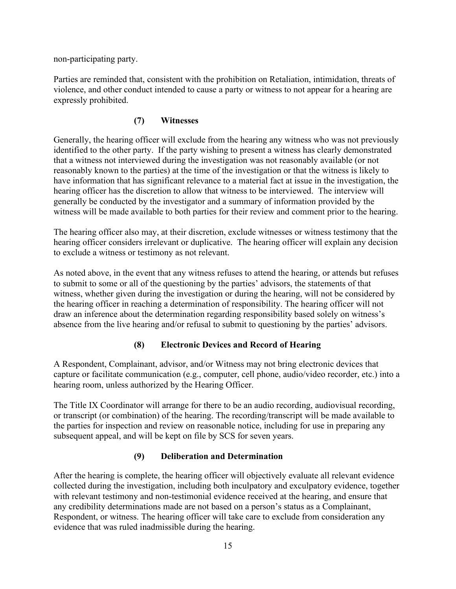non-participating party.

Parties are reminded that, consistent with the prohibition on Retaliation, intimidation, threats of violence, and other conduct intended to cause a party or witness to not appear for a hearing are expressly prohibited.

## **(7) Witnesses**

Generally, the hearing officer will exclude from the hearing any witness who was not previously identified to the other party. If the party wishing to present a witness has clearly demonstrated that a witness not interviewed during the investigation was not reasonably available (or not reasonably known to the parties) at the time of the investigation or that the witness is likely to have information that has significant relevance to a material fact at issue in the investigation, the hearing officer has the discretion to allow that witness to be interviewed. The interview will generally be conducted by the investigator and a summary of information provided by the witness will be made available to both parties for their review and comment prior to the hearing.

The hearing officer also may, at their discretion, exclude witnesses or witness testimony that the hearing officer considers irrelevant or duplicative. The hearing officer will explain any decision to exclude a witness or testimony as not relevant.

As noted above, in the event that any witness refuses to attend the hearing, or attends but refuses to submit to some or all of the questioning by the parties' advisors, the statements of that witness, whether given during the investigation or during the hearing, will not be considered by the hearing officer in reaching a determination of responsibility. The hearing officer will not draw an inference about the determination regarding responsibility based solely on witness's absence from the live hearing and/or refusal to submit to questioning by the parties' advisors.

#### **(8) Electronic Devices and Record of Hearing**

A Respondent, Complainant, advisor, and/or Witness may not bring electronic devices that capture or facilitate communication (e.g., computer, cell phone, audio/video recorder, etc.) into a hearing room, unless authorized by the Hearing Officer.

The Title IX Coordinator will arrange for there to be an audio recording, audiovisual recording, or transcript (or combination) of the hearing. The recording/transcript will be made available to the parties for inspection and review on reasonable notice, including for use in preparing any subsequent appeal, and will be kept on file by SCS for seven years.

#### **(9) Deliberation and Determination**

After the hearing is complete, the hearing officer will objectively evaluate all relevant evidence collected during the investigation, including both inculpatory and exculpatory evidence, together with relevant testimony and non-testimonial evidence received at the hearing, and ensure that any credibility determinations made are not based on a person's status as a Complainant, Respondent, or witness. The hearing officer will take care to exclude from consideration any evidence that was ruled inadmissible during the hearing.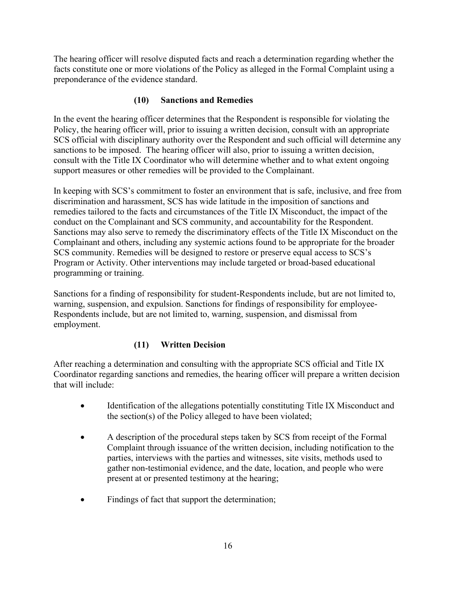The hearing officer will resolve disputed facts and reach a determination regarding whether the facts constitute one or more violations of the Policy as alleged in the Formal Complaint using a preponderance of the evidence standard.

#### **(10) Sanctions and Remedies**

In the event the hearing officer determines that the Respondent is responsible for violating the Policy, the hearing officer will, prior to issuing a written decision, consult with an appropriate SCS official with disciplinary authority over the Respondent and such official will determine any sanctions to be imposed. The hearing officer will also, prior to issuing a written decision, consult with the Title IX Coordinator who will determine whether and to what extent ongoing support measures or other remedies will be provided to the Complainant.

In keeping with SCS's commitment to foster an environment that is safe, inclusive, and free from discrimination and harassment, SCS has wide latitude in the imposition of sanctions and remedies tailored to the facts and circumstances of the Title IX Misconduct, the impact of the conduct on the Complainant and SCS community, and accountability for the Respondent. Sanctions may also serve to remedy the discriminatory effects of the Title IX Misconduct on the Complainant and others, including any systemic actions found to be appropriate for the broader SCS community. Remedies will be designed to restore or preserve equal access to SCS's Program or Activity. Other interventions may include targeted or broad-based educational programming or training.

Sanctions for a finding of responsibility for student-Respondents include, but are not limited to, warning, suspension, and expulsion. Sanctions for findings of responsibility for employee-Respondents include, but are not limited to, warning, suspension, and dismissal from employment.

# **(11) Written Decision**

After reaching a determination and consulting with the appropriate SCS official and Title IX Coordinator regarding sanctions and remedies, the hearing officer will prepare a written decision that will include:

- Identification of the allegations potentially constituting Title IX Misconduct and the section(s) of the Policy alleged to have been violated;
- A description of the procedural steps taken by SCS from receipt of the Formal Complaint through issuance of the written decision, including notification to the parties, interviews with the parties and witnesses, site visits, methods used to gather non-testimonial evidence, and the date, location, and people who were present at or presented testimony at the hearing;
- Findings of fact that support the determination;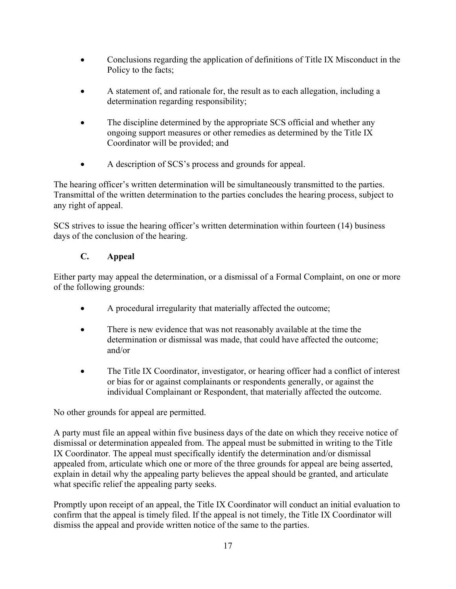- Conclusions regarding the application of definitions of Title IX Misconduct in the Policy to the facts;
- A statement of, and rationale for, the result as to each allegation, including a determination regarding responsibility;
- The discipline determined by the appropriate SCS official and whether any ongoing support measures or other remedies as determined by the Title IX Coordinator will be provided; and
- A description of SCS's process and grounds for appeal.

The hearing officer's written determination will be simultaneously transmitted to the parties. Transmittal of the written determination to the parties concludes the hearing process, subject to any right of appeal.

SCS strives to issue the hearing officer's written determination within fourteen (14) business days of the conclusion of the hearing.

## **C. Appeal**

Either party may appeal the determination, or a dismissal of a Formal Complaint, on one or more of the following grounds:

- A procedural irregularity that materially affected the outcome;
- There is new evidence that was not reasonably available at the time the determination or dismissal was made, that could have affected the outcome; and/or
- The Title IX Coordinator, investigator, or hearing officer had a conflict of interest or bias for or against complainants or respondents generally, or against the individual Complainant or Respondent, that materially affected the outcome.

No other grounds for appeal are permitted.

A party must file an appeal within five business days of the date on which they receive notice of dismissal or determination appealed from. The appeal must be submitted in writing to the Title IX Coordinator. The appeal must specifically identify the determination and/or dismissal appealed from, articulate which one or more of the three grounds for appeal are being asserted, explain in detail why the appealing party believes the appeal should be granted, and articulate what specific relief the appealing party seeks.

Promptly upon receipt of an appeal, the Title IX Coordinator will conduct an initial evaluation to confirm that the appeal is timely filed. If the appeal is not timely, the Title IX Coordinator will dismiss the appeal and provide written notice of the same to the parties.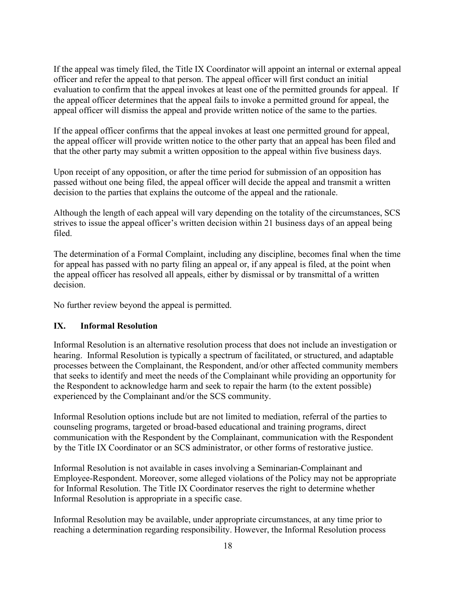If the appeal was timely filed, the Title IX Coordinator will appoint an internal or external appeal officer and refer the appeal to that person. The appeal officer will first conduct an initial evaluation to confirm that the appeal invokes at least one of the permitted grounds for appeal. If the appeal officer determines that the appeal fails to invoke a permitted ground for appeal, the appeal officer will dismiss the appeal and provide written notice of the same to the parties.

If the appeal officer confirms that the appeal invokes at least one permitted ground for appeal, the appeal officer will provide written notice to the other party that an appeal has been filed and that the other party may submit a written opposition to the appeal within five business days.

Upon receipt of any opposition, or after the time period for submission of an opposition has passed without one being filed, the appeal officer will decide the appeal and transmit a written decision to the parties that explains the outcome of the appeal and the rationale.

Although the length of each appeal will vary depending on the totality of the circumstances, SCS strives to issue the appeal officer's written decision within 21 business days of an appeal being filed.

The determination of a Formal Complaint, including any discipline, becomes final when the time for appeal has passed with no party filing an appeal or, if any appeal is filed, at the point when the appeal officer has resolved all appeals, either by dismissal or by transmittal of a written decision.

No further review beyond the appeal is permitted.

#### **IX. Informal Resolution**

Informal Resolution is an alternative resolution process that does not include an investigation or hearing. Informal Resolution is typically a spectrum of facilitated, or structured, and adaptable processes between the Complainant, the Respondent, and/or other affected community members that seeks to identify and meet the needs of the Complainant while providing an opportunity for the Respondent to acknowledge harm and seek to repair the harm (to the extent possible) experienced by the Complainant and/or the SCS community.

Informal Resolution options include but are not limited to mediation, referral of the parties to counseling programs, targeted or broad-based educational and training programs, direct communication with the Respondent by the Complainant, communication with the Respondent by the Title IX Coordinator or an SCS administrator, or other forms of restorative justice.

Informal Resolution is not available in cases involving a Seminarian-Complainant and Employee-Respondent. Moreover, some alleged violations of the Policy may not be appropriate for Informal Resolution. The Title IX Coordinator reserves the right to determine whether Informal Resolution is appropriate in a specific case.

Informal Resolution may be available, under appropriate circumstances, at any time prior to reaching a determination regarding responsibility. However, the Informal Resolution process